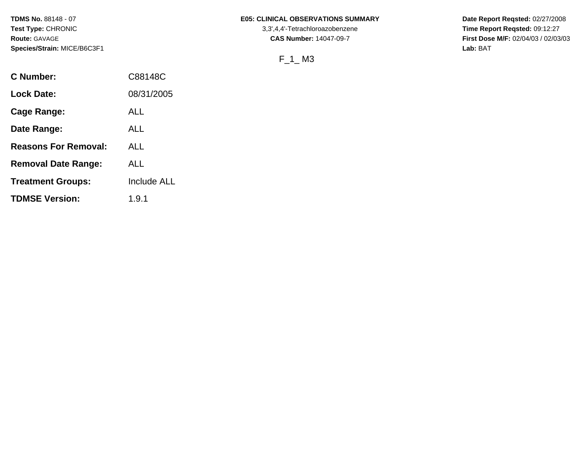**TDMS No.** 88148 - 07 **Test Type:** CHRONIC **Route:** GAVAGE **Species/Strain:** MICE/B6C3F1

### **E05: CLINICAL OBSERVATIONS SUMMARY**

3,3',4,4'-Tetrachloroazobenzene **CAS Number:** 14047-09-7

# F\_1\_ M3

**Date Report Reqsted:** 02/27/2008 **Time Report Reqsted:** 09:12:27 **First Dose M/F:** 02/04/03 / 02/03/03 **Lab:** BAT

| <b>C</b> Number:            | C88148C            |
|-----------------------------|--------------------|
| <b>Lock Date:</b>           | 08/31/2005         |
| <b>Cage Range:</b>          | ALL                |
| Date Range:                 | ALL                |
| <b>Reasons For Removal:</b> | ALL                |
| <b>Removal Date Range:</b>  | AL L               |
| <b>Treatment Groups:</b>    | <b>Include ALL</b> |
| <b>TDMSE Version:</b>       | 1.9.1              |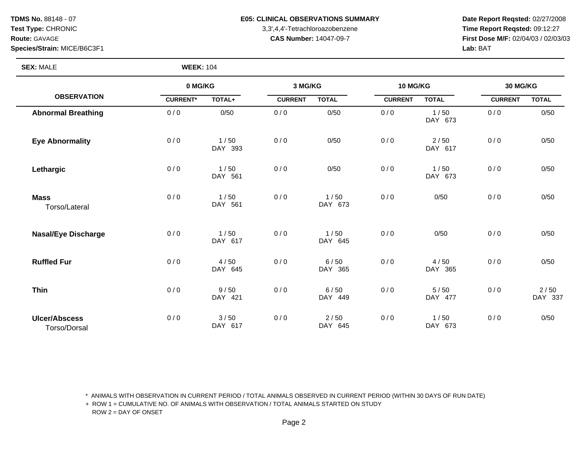**Species/Strain:** MICE/B6C3F1 **Lab:** BAT

**SEX:** MALE **WEEK:** 104

## **TDMS No. 88148 - 07 E05: CLINICAL OBSERVATIONS SUMMARY** Date Report Reqsted: 02/27/2008

**Test Type:** CHRONIC 3,3',4,4'-Tetrachloroazobenzene **Time Report Reqsted:** 09:12:27 **Route:** GAVAGE **CAS Number:** 14047-09-7 **First Dose M/F:** 02/04/03 / 02/03/03

|                                             | 0 MG/KG         |                 | 3 MG/KG        |                   | 10 MG/KG       |                 | 30 MG/KG       |                 |
|---------------------------------------------|-----------------|-----------------|----------------|-------------------|----------------|-----------------|----------------|-----------------|
| <b>OBSERVATION</b>                          | <b>CURRENT*</b> | TOTAL+          | <b>CURRENT</b> | <b>TOTAL</b>      | <b>CURRENT</b> | <b>TOTAL</b>    | <b>CURRENT</b> | <b>TOTAL</b>    |
| <b>Abnormal Breathing</b>                   | 0/0             | 0/50            | 0/0            | 0/50              | 0/0            | 1/50<br>DAY 673 | 0/0            | 0/50            |
| <b>Eye Abnormality</b>                      | 0/0             | 1/50<br>DAY 393 | 0/0            | 0/50              | 0/0            | 2/50<br>DAY 617 | 0/0            | 0/50            |
| Lethargic                                   | 0/0             | 1/50<br>DAY 561 | 0/0            | 0/50              | 0/0            | 1/50<br>DAY 673 | 0/0            | 0/50            |
| <b>Mass</b><br>Torso/Lateral                | 0/0             | 1/50<br>DAY 561 | 0/0            | 1/50<br>DAY 673   | 0/0            | 0/50            | 0/0            | 0/50            |
| <b>Nasal/Eye Discharge</b>                  | 0/0             | 1/50<br>DAY 617 | 0/0            | 1/50<br>DAY 645   | 0/0            | 0/50            | 0/0            | 0/50            |
| <b>Ruffled Fur</b>                          | 0/0             | 4/50<br>DAY 645 | 0/0            | 6/50<br>DAY 365   | 0/0            | 4/50<br>DAY 365 | 0/0            | 0/50            |
| <b>Thin</b>                                 | 0/0             | 9/50<br>DAY 421 | 0/0            | 6/50<br>DAY 449   | 0/0            | 5/50<br>DAY 477 | 0/0            | 2/50<br>DAY 337 |
| <b>Ulcer/Abscess</b><br><b>Torso/Dorsal</b> | 0/0             | 3/50<br>DAY 617 | 0/0            | $2/50$<br>DAY 645 | 0/0            | 1/50<br>DAY 673 | 0/0            | 0/50            |

\* ANIMALS WITH OBSERVATION IN CURRENT PERIOD / TOTAL ANIMALS OBSERVED IN CURRENT PERIOD (WITHIN 30 DAYS OF RUN DATE)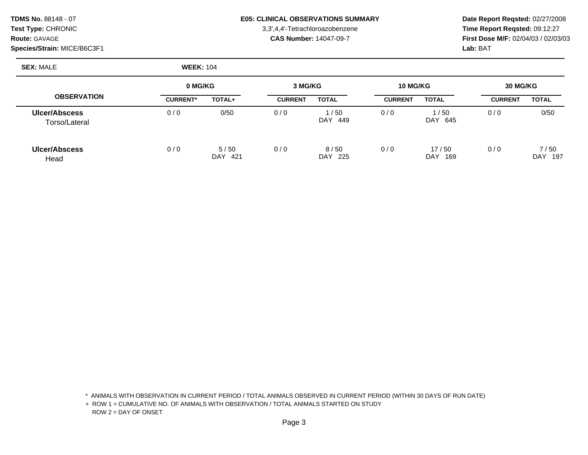| <b>TDMS No. 88148 - 07</b>  |
|-----------------------------|
| <b>Test Type: CHRONIC</b>   |
| <b>Route: GAVAGE</b>        |
| Species/Strain: MICE/B6C3F1 |

## E05: CLINICAL OBSERVATIONS SUMMARY Date Report Reqsted: 02/27/2008

3,3',4,4'-Tetrachloroazobenzene **Time Report Reqsted:** 09:12:27 **CAS Number:** 14047-09-7 **First Dose M/F:** 02/04/03 / 02/03/03 **Lab:** BAT

**SEX:** MALE **WEEK:** 104

|                                       |                 | 0 MG/KG             |                | 3 MG/KG              |                | 10 MG/KG            |                | 30 MG/KG           |  |
|---------------------------------------|-----------------|---------------------|----------------|----------------------|----------------|---------------------|----------------|--------------------|--|
| <b>OBSERVATION</b>                    | <b>CURRENT*</b> | TOTAL+              | <b>CURRENT</b> | <b>TOTAL</b>         | <b>CURRENT</b> | <b>TOTAL</b>        | <b>CURRENT</b> | <b>TOTAL</b>       |  |
| <b>Ulcer/Abscess</b><br>Torso/Lateral | 0/0             | 0/50                | 0/0            | 1/50<br>DAY<br>- 449 | 0/0            | 1/50<br>DAY.<br>645 | 0/0            | 0/50               |  |
| <b>Ulcer/Abscess</b><br>Head          | 0/0             | 5/50<br>-421<br>DAY | 0/0            | 8/50<br>DAY 225      | 0/0            | 17/50<br>DAY<br>169 | 0/0            | 7/50<br>DAY<br>197 |  |

\* ANIMALS WITH OBSERVATION IN CURRENT PERIOD / TOTAL ANIMALS OBSERVED IN CURRENT PERIOD (WITHIN 30 DAYS OF RUN DATE)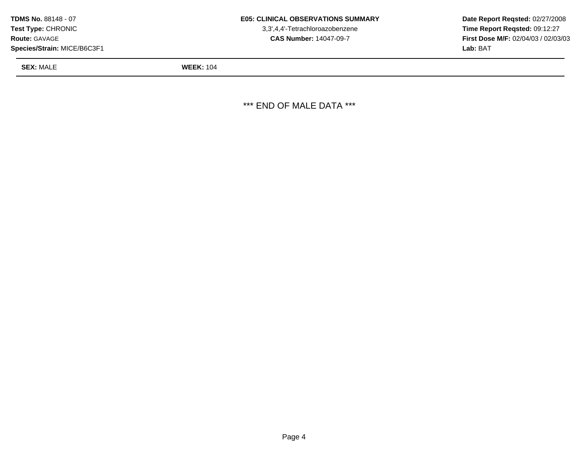| TDMS No. 88148 - 07         |
|-----------------------------|
| Test Type: CHRONIC          |
| <b>Route: GAVAGE</b>        |
| Species/Strain: MICE/B6C3F1 |

3,3',4,4'-Tetrachloroazobenzene **CAS Number:** 14047-09-7

**Date Report Reqsted:** 02/27/2008 **Time Report Reqsted:** 09:12:27 **First Dose M/F:** 02/04/03 / 02/03/03 **Lab:** BAT

**SEX:** MALE **WEEK:** 104

\*\*\* END OF MALE DATA \*\*\*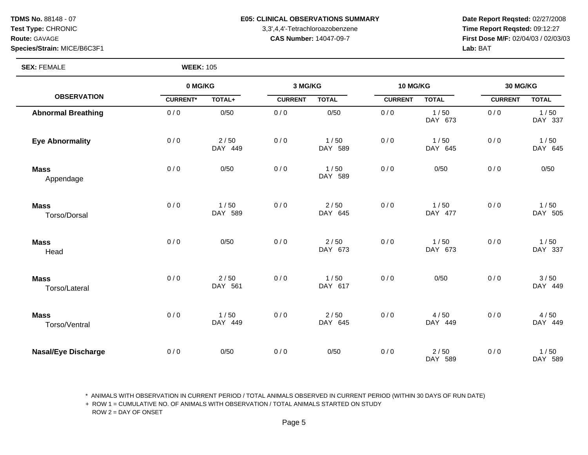**Species/Strain:** MICE/B6C3F1 **Lab:** BAT

**SEX:** FEMALE **WEEK:** 105

#### **TDMS No. 88148 - 07 E05: CLINICAL OBSERVATIONS SUMMARY** Date Report Reqsted: 02/27/2008

**Test Type:** CHRONIC 3,3',4,4'-Tetrachloroazobenzene **Time Report Reqsted:** 09:12:27 **Route:** GAVAGE **CAS Number:** 14047-09-7 **First Dose M/F:** 02/04/03 / 02/03/03

|                              | 0 MG/KG         |                   | 3 MG/KG        |                   | 10 MG/KG       |                   | 30 MG/KG       |                 |
|------------------------------|-----------------|-------------------|----------------|-------------------|----------------|-------------------|----------------|-----------------|
| <b>OBSERVATION</b>           | <b>CURRENT*</b> | TOTAL+            | <b>CURRENT</b> | <b>TOTAL</b>      | <b>CURRENT</b> | <b>TOTAL</b>      | <b>CURRENT</b> | <b>TOTAL</b>    |
| <b>Abnormal Breathing</b>    | 0/0             | 0/50              | 0/0            | 0/50              | 0/0            | 1/50<br>DAY 673   | 0/0            | 1/50<br>DAY 337 |
| <b>Eye Abnormality</b>       | 0/0             | $2/50$<br>DAY 449 | 0/0            | 1/50<br>DAY 589   | 0/0            | 1/50<br>DAY 645   | 0/0            | 1/50<br>DAY 645 |
| <b>Mass</b><br>Appendage     | 0/0             | 0/50              | 0/0            | 1/50<br>DAY 589   | 0/0            | 0/50              | 0/0            | 0/50            |
| <b>Mass</b><br>Torso/Dorsal  | 0/0             | 1/50<br>DAY 589   | 0/0            | $2/50$<br>DAY 645 | 0/0            | 1/50<br>DAY 477   | 0/0            | 1/50<br>DAY 505 |
| <b>Mass</b><br>Head          | 0/0             | 0/50              | 0/0            | $2/50$<br>DAY 673 | 0/0            | 1/50<br>DAY 673   | 0/0            | 1/50<br>DAY 337 |
| <b>Mass</b><br>Torso/Lateral | 0/0             | $2/50$<br>DAY 561 | 0/0            | 1/50<br>DAY 617   | 0/0            | 0/50              | 0/0            | 3/50<br>DAY 449 |
| <b>Mass</b><br>Torso/Ventral | 0/0             | 1/50<br>DAY 449   | 0/0            | $2/50$<br>DAY 645 | 0/0            | 4/50<br>DAY 449   | 0/0            | 4/50<br>DAY 449 |
| <b>Nasal/Eye Discharge</b>   | 0/0             | 0/50              | 0/0            | 0/50              | 0/0            | $2/50$<br>DAY 589 | 0/0            | 1/50<br>DAY 589 |

\* ANIMALS WITH OBSERVATION IN CURRENT PERIOD / TOTAL ANIMALS OBSERVED IN CURRENT PERIOD (WITHIN 30 DAYS OF RUN DATE)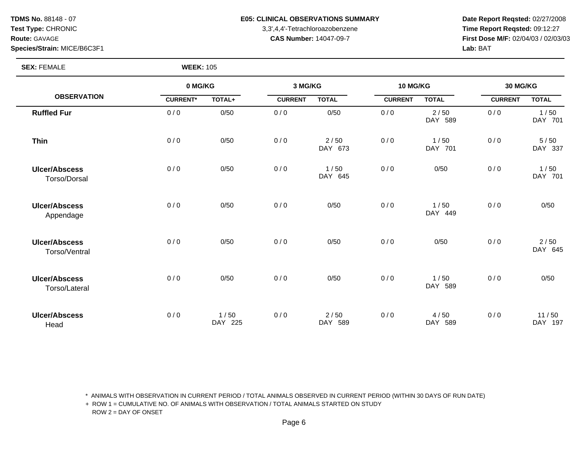**TDMS No.** 88148 - 07 **Test Type:** CHRONIC **Route:** GAVAGE

#### E05: CLINICAL OBSERVATIONS SUMMARY Date Report Reqsted: 02/27/2008

3,3',4,4'-Tetrachloroazobenzene **Time Report Reqsted:** 09:12:27 **CAS Number:** 14047-09-7 **First Dose M/F:** 02/04/03 / 02/03/03 **Lab:** BAT

**Species/Strain:** MICE/B6C3F1

**SEX:** FEMALE **WEEK:** 105

|                                       |                 | 0 MG/KG         |                | 3 MG/KG         |                | 10 MG/KG        |                | 30 MG/KG         |  |
|---------------------------------------|-----------------|-----------------|----------------|-----------------|----------------|-----------------|----------------|------------------|--|
| <b>OBSERVATION</b>                    | <b>CURRENT*</b> | TOTAL+          | <b>CURRENT</b> | <b>TOTAL</b>    | <b>CURRENT</b> | <b>TOTAL</b>    | <b>CURRENT</b> | <b>TOTAL</b>     |  |
| <b>Ruffled Fur</b>                    | 0/0             | 0/50            | 0/0            | 0/50            | 0/0            | 2/50<br>DAY 589 | 0/0            | 1/50<br>DAY 701  |  |
| <b>Thin</b>                           | 0/0             | 0/50            | 0/0            | 2/50<br>DAY 673 | 0/0            | 1/50<br>DAY 701 | 0/0            | 5/50<br>DAY 337  |  |
| <b>Ulcer/Abscess</b><br>Torso/Dorsal  | 0/0             | 0/50            | 0/0            | 1/50<br>DAY 645 | 0/0            | 0/50            | 0/0            | 1/50<br>DAY 701  |  |
| <b>Ulcer/Abscess</b><br>Appendage     | 0/0             | 0/50            | 0/0            | 0/50            | 0/0            | 1/50<br>DAY 449 | 0/0            | 0/50             |  |
| <b>Ulcer/Abscess</b><br>Torso/Ventral | 0/0             | 0/50            | 0/0            | 0/50            | 0/0            | 0/50            | 0/0            | 2/50<br>DAY 645  |  |
| <b>Ulcer/Abscess</b><br>Torso/Lateral | 0/0             | 0/50            | 0/0            | 0/50            | 0/0            | 1/50<br>DAY 589 | 0/0            | 0/50             |  |
| <b>Ulcer/Abscess</b><br>Head          | 0/0             | 1/50<br>DAY 225 | 0/0            | 2/50<br>DAY 589 | 0/0            | 4/50<br>DAY 589 | 0/0            | 11/50<br>DAY 197 |  |

\* ANIMALS WITH OBSERVATION IN CURRENT PERIOD / TOTAL ANIMALS OBSERVED IN CURRENT PERIOD (WITHIN 30 DAYS OF RUN DATE)